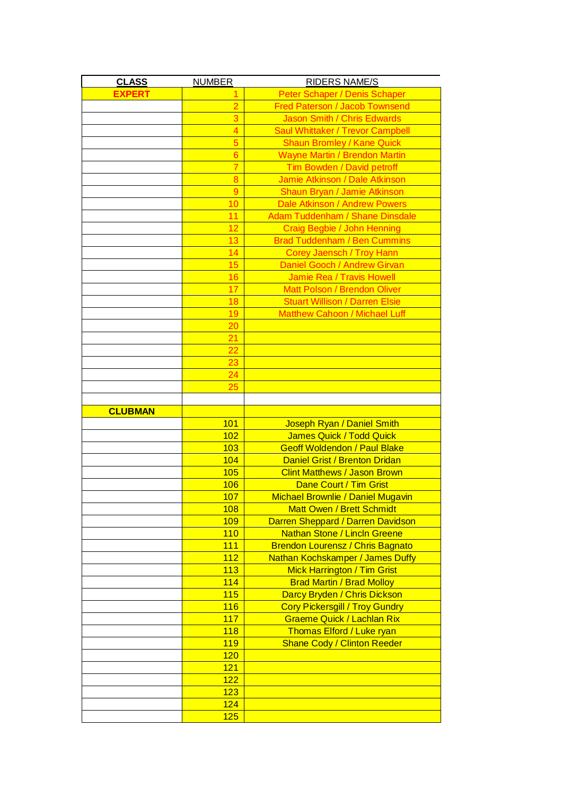| <b>CLASS</b>   | <b>NUMBER</b>  | <b>RIDERS NAME/S</b>                     |
|----------------|----------------|------------------------------------------|
| <b>EXPERT</b>  |                | Peter Schaper / Denis Schaper            |
|                | $\overline{2}$ | Fred Paterson / Jacob Townsend           |
|                | 3              | Jason Smith / Chris Edwards              |
|                | $\overline{4}$ | <b>Saul Whittaker / Trevor Campbell</b>  |
|                | 5              | <b>Shaun Bromley / Kane Quick</b>        |
|                | $\overline{6}$ | <b>Wayne Martin / Brendon Martin</b>     |
|                | $\overline{7}$ | Tim Bowden / David petroff               |
|                | 8              | Jamie Atkinson / Dale Atkinson           |
|                | 9              | Shaun Bryan / Jamie Atkinson             |
|                | 10             | Dale Atkinson / Andrew Powers            |
|                | 11             | <b>Adam Tuddenham / Shane Dinsdale</b>   |
|                | 12             | Craig Begbie / John Henning              |
|                | 13             | <b>Brad Tuddenham / Ben Cummins</b>      |
|                | 14             | Corey Jaensch / Troy Hann                |
|                | 15             | Daniel Gooch / Andrew Girvan             |
|                | 16             | Jamie Rea / Travis Howell                |
|                | 17             | <b>Matt Polson / Brendon Oliver</b>      |
|                | 18             | <b>Stuart Willison / Darren Elsie</b>    |
|                | 19             | <b>Matthew Cahoon / Michael Luff</b>     |
|                | 20             |                                          |
|                | 21             |                                          |
|                | 22             |                                          |
|                | 23             |                                          |
|                | 24             |                                          |
|                | 25             |                                          |
|                |                |                                          |
| <b>CLUBMAN</b> |                |                                          |
|                | 101            | Joseph Ryan / Daniel Smith               |
|                | 102            | James Quick / Todd Quick                 |
|                | 103            | <b>Geoff Woldendon / Paul Blake</b>      |
|                | 104            | Daniel Grist / Brenton Dridan            |
|                | 105            | <b>Clint Matthews / Jason Brown</b>      |
|                | 106            | Dane Court / Tim Grist                   |
|                | <u> 107</u>    | <b>Michael Brownlie / Daniel Mugavin</b> |
|                | 108            | <b>Matt Owen / Brett Schmidt</b>         |
|                | 109            | Darren Sheppard / Darren Davidson        |
|                | 110            | <b>Nathan Stone / Lincln Greene</b>      |
|                | 111            | <b>Brendon Lourensz / Chris Bagnato</b>  |
|                |                |                                          |
|                |                |                                          |
|                | 112            | Nathan Kochskamper / James Duffy         |
|                | 113            | <b>Mick Harrington / Tim Grist</b>       |
|                | 114            | <b>Brad Martin / Brad Molloy</b>         |
|                | 115            | Darcy Bryden / Chris Dickson             |
|                | 116            | <b>Cory Pickersgill / Troy Gundry</b>    |
|                | 117            | <b>Graeme Quick / Lachlan Rix</b>        |
|                | 118            | Thomas Elford / Luke ryan                |
|                | 119            | <b>Shane Cody / Clinton Reeder</b>       |
|                | 120<br>121     |                                          |
|                |                |                                          |
|                | 122            |                                          |
|                | 123<br>124     |                                          |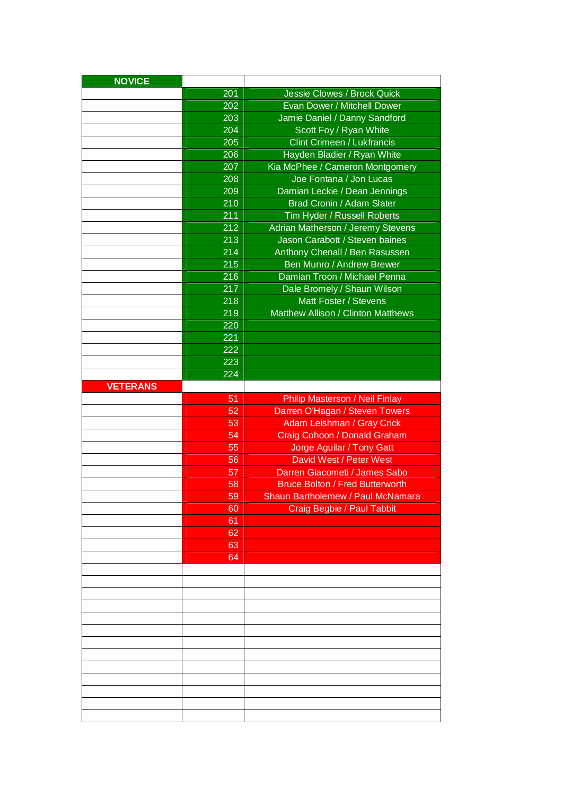| <b>NOVICE</b>   |     |                                        |
|-----------------|-----|----------------------------------------|
|                 | 201 | Jessie Clowes / Brock Quick            |
|                 | 202 | Evan Dower / Mitchell Dower            |
|                 | 203 | Jamie Daniel / Danny Sandford          |
|                 | 204 | Scott Foy / Ryan White                 |
|                 | 205 | <b>Clint Crimeen / Lukfrancis</b>      |
|                 | 206 | Hayden Bladier / Ryan White            |
|                 | 207 | Kia McPhee / Cameron Montgomery        |
|                 | 208 | Joe Fontana / Jon Lucas                |
|                 | 209 | Damian Leckie / Dean Jennings          |
|                 | 210 | Brad Cronin / Adam Slater              |
|                 | 211 | Tim Hyder / Russell Roberts            |
|                 | 212 | Adrian Matherson / Jeremy Stevens      |
|                 | 213 | Jason Carabott / Steven baines         |
|                 | 214 | Anthony Chenall / Ben Rasussen         |
|                 | 215 | Ben Munro / Andrew Brewer              |
|                 | 216 | Damian Troon / Michael Penna           |
|                 | 217 | Dale Bromely / Shaun Wilson            |
|                 | 218 | Matt Foster / Stevens                  |
|                 | 219 | Matthew Allison / Clinton Matthews     |
|                 | 220 |                                        |
|                 | 221 |                                        |
|                 | 222 |                                        |
|                 | 223 |                                        |
|                 | 224 |                                        |
| <b>VETERANS</b> |     |                                        |
|                 | 51  | Philip Masterson / Neil Finlay         |
|                 | 52  | Darren O'Hagan / Steven Towers         |
|                 | 53  | Adam Leishman / Gray Crick             |
|                 | 54  | Craig Cohoon / Donald Graham           |
|                 | 55  | Jorge Aguilar / Tony Gatt              |
|                 |     |                                        |
|                 |     |                                        |
|                 | 56  | David West / Peter West                |
|                 | 57  | Darren Giacometi / James Sabo          |
|                 | 58  | <b>Bruce Bolton / Fred Butterworth</b> |
|                 | 59  | Shaun Bartholemew / Paul McNamara      |
|                 | 60  | Craig Begbie / Paul Tabbit             |
|                 | 61  |                                        |
|                 | 62  |                                        |
|                 | 63  |                                        |
|                 | 64  |                                        |
|                 |     |                                        |
|                 |     |                                        |
|                 |     |                                        |
|                 |     |                                        |
|                 |     |                                        |
|                 |     |                                        |
|                 |     |                                        |
|                 |     |                                        |
|                 |     |                                        |
|                 |     |                                        |
|                 |     |                                        |
|                 |     |                                        |